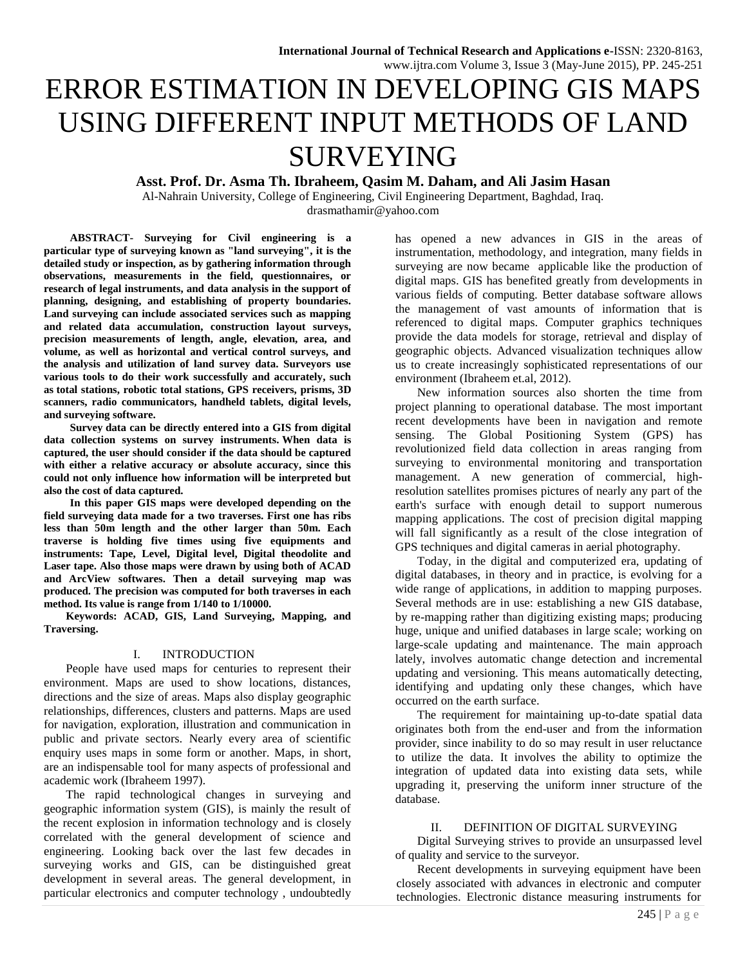# ERROR ESTIMATION IN DEVELOPING GIS MAPS USING DIFFERENT INPUT METHODS OF LAND SURVEYING

**Asst. Prof. Dr. Asma Th. Ibraheem, Qasim M. Daham, and Ali Jasim Hasan**

Al-Nahrain University, College of Engineering, Civil Engineering Department, Baghdad, Iraq. [drasmathamir@yahoo.com](mailto:drasmathamir@yahoo.com)

**ABSTRACT- Surveying for Civil engineering is a particular type of surveying known as "land surveying", it is the detailed study or inspection, as by gathering information through observations, measurements in the field, questionnaires, or research of legal instruments, and data analysis in the support of planning, designing, and establishing of property boundaries. Land surveying can include associated services such as mapping and related data accumulation, construction layout surveys, precision measurements of length, angle, elevation, area, and volume, as well as horizontal and vertical control surveys, and the analysis and utilization of land survey data. Surveyors use various tools to do their work successfully and accurately, such as [total stations,](http://en.wikipedia.org/wiki/Total_station) robotic total stations, GPS receivers, prisms, [3D](http://en.wikipedia.org/wiki/3D_scanner)  [scanners,](http://en.wikipedia.org/wiki/3D_scanner) radio communicators, handheld tablets, digital levels, and surveying software.**

**[Survey](http://en.wikipedia.org/wiki/Surveying) data can be directly entered into a GIS from digital data collection systems on survey instruments. When data is captured, the user should consider if the data should be captured with either a relative accuracy or absolute accuracy, since this could not only influence how information will be interpreted but also the cost of data captured.**

**In this paper GIS maps were developed depending on the field surveying data made for a two traverses. First one has ribs less than 50m length and the other larger than 50m. Each traverse is holding five times using five equipments and instruments: Tape, Level, Digital level, Digital theodolite and Laser tape. Also those maps were drawn by using both of ACAD and ArcView softwares. Then a detail surveying map was produced. The precision was computed for both traverses in each method. Its value is range from 1/140 to 1/10000.** 

**Keywords: ACAD, GIS, Land Surveying, Mapping, and Traversing.**

## I. INTRODUCTION

People have used maps for centuries to represent their environment. Maps are used to show locations, distances, directions and the size of areas. Maps also display geographic relationships, differences, clusters and patterns. Maps are used for navigation, exploration, illustration and communication in public and private sectors. Nearly every area of scientific enquiry uses maps in some form or another. Maps, in short, are an indispensable tool for many aspects of professional and academic work (Ibraheem 1997).

The rapid technological changes in surveying and geographic information system (GIS), is mainly the result of the recent explosion in information technology and is closely correlated with the general development of science and engineering. Looking back over the last few decades in surveying works and GIS, can be distinguished great development in several areas. The general development, in particular electronics and computer technology , undoubtedly

has opened a new advances in GIS in the areas of instrumentation, methodology, and integration, many fields in surveying are now became applicable like the production of digital maps. GIS has benefited greatly from developments in various fields of computing. Better database software allows the management of vast amounts of information that is referenced to digital maps. Computer graphics techniques provide the data models for storage, retrieval and display of geographic objects. Advanced visualization techniques allow us to create increasingly sophisticated representations of our environment (Ibraheem et.al, 2012).

New information sources also shorten the time from project planning to operational database. The most important recent developments have been in navigation and remote sensing. The Global Positioning System (GPS) has revolutionized field data collection in areas ranging from surveying to environmental monitoring and transportation management. A new generation of commercial, highresolution satellites promises pictures of nearly any part of the earth's surface with enough detail to support numerous mapping applications. The cost of precision digital mapping will fall significantly as a result of the close integration of GPS techniques and digital cameras in aerial photography.

Today, in the digital and computerized era, updating of digital databases, in theory and in practice, is evolving for a wide range of applications, in addition to mapping purposes. Several methods are in use: establishing a new GIS database, by re-mapping rather than digitizing existing maps; producing huge, unique and unified databases in large scale; working on large-scale updating and maintenance. The main approach lately, involves automatic change detection and incremental updating and versioning. This means automatically detecting, identifying and updating only these changes, which have occurred on the earth surface.

The requirement for maintaining up-to-date spatial data originates both from the end-user and from the information provider, since inability to do so may result in user reluctance to utilize the data. It involves the ability to optimize the integration of updated data into existing data sets, while upgrading it, preserving the uniform inner structure of the database.

# II. DEFINITION OF DIGITAL SURVEYING

Digital Surveying strives to provide an unsurpassed level of quality and service to the surveyor.

Recent developments in surveying equipment have been closely associated with advances in electronic and computer technologies. Electronic distance measuring instruments for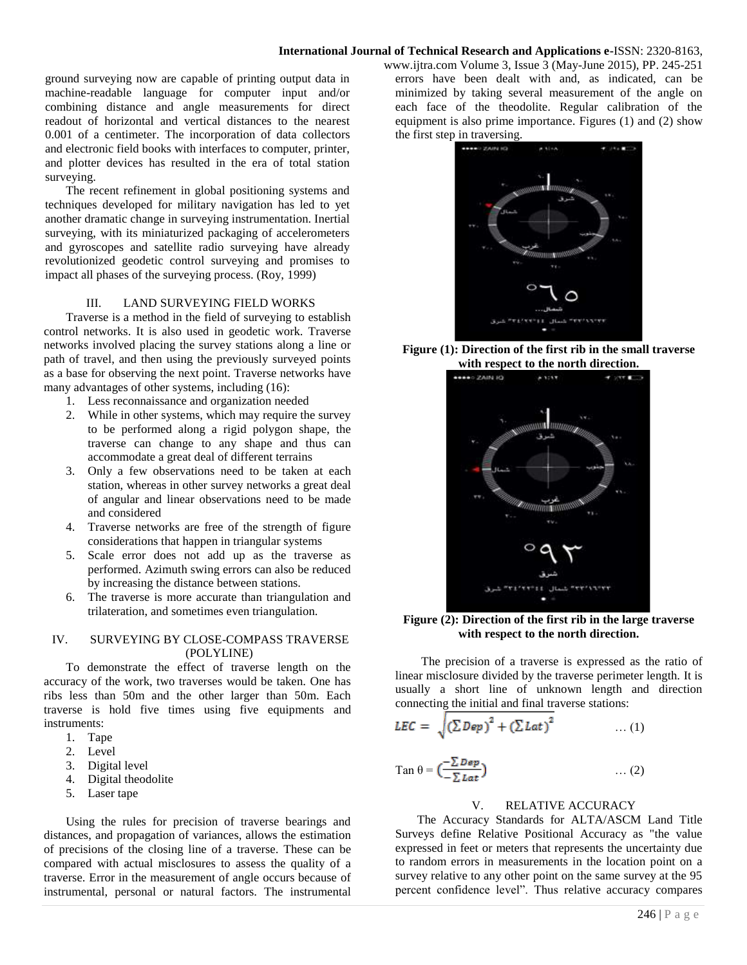ground surveying now are capable of printing output data in machine-readable language for computer input and/or combining distance and angle measurements for direct readout of horizontal and vertical distances to the nearest 0.001 of a centimeter. The incorporation of data collectors and electronic field books with interfaces to computer, printer, and plotter devices has resulted in the era of total station surveying.

The recent refinement in global positioning systems and techniques developed for military navigation has led to yet another dramatic change in surveying instrumentation. Inertial surveying, with its miniaturized packaging of accelerometers and gyroscopes and satellite radio surveying have already revolutionized geodetic control surveying and promises to impact all phases of the surveying process. (Roy, 1999)

## III. LAND SURVEYING FIELD WORKS

Traverse is a method in the field of surveying to establish control networks. It is also used in geodetic work. Traverse networks involved placing the survey stations along a line or path of travel, and then using the previously surveyed points as a base for observing the next point. Traverse networks have many advantages of other systems, including (16):

- 1. Less reconnaissance and organization needed
- 2. While in other systems, which may require the survey to be performed along a rigid polygon shape, the traverse can change to any shape and thus can accommodate a great deal of different terrains
- 3. Only a few observations need to be taken at each station, whereas in other survey networks a great deal of angular and linear observations need to be made and considered
- 4. Traverse networks are free of the strength of figure considerations that happen in triangular systems
- 5. Scale error does not add up as the traverse as performed. Azimuth swing errors can also be reduced by increasing the distance between stations.
- 6. The traverse is more accurate than triangulation and trilateration, and sometimes even triangulation.

## IV. SURVEYING BY CLOSE-COMPASS TRAVERSE (POLYLINE)

To demonstrate the effect of traverse length on the accuracy of the work, two traverses would be taken. One has ribs less than 50m and the other larger than 50m. Each traverse is hold five times using five equipments and instruments:

- 1. Tape
- 2. Level
- 3. Digital level
- 4. Digital theodolite
- 5. Laser tape

Using the rules for precision of traverse bearings and distances, and propagation of variances, allows the estimation of precisions of the closing line of a traverse. These can be compared with actual misclosures to assess the quality of a traverse. Error in the measurement of angle occurs because of instrumental, personal or natural factors. The instrumental www.ijtra.com Volume 3, Issue 3 (May-June 2015), PP. 245-251 errors have been dealt with and, as indicated, can be minimized by taking several measurement of the angle on each face of the theodolite. Regular calibration of the equipment is also prime importance. Figures (1) and (2) show the first step in traversing.



**Figure (1): Direction of the first rib in the small traverse with respect to the north direction.**



**Figure (2): Direction of the first rib in the large traverse with respect to the north direction.**

The precision of a traverse is expressed as the ratio of linear misclosure divided by the traverse perimeter length. It is usually a short line of unknown length and direction connecting the initial and final traverse stations:

$$
LEC = \sqrt{\left(\sum Dep\right)^2 + \left(\sum Lat\right)^2} \qquad \qquad \dots (1)
$$

$$
\text{Tan } \theta = \left( \frac{-\sum D \epsilon p}{-\sum L a t} \right) \qquad \qquad \dots (2)
$$

# V. RELATIVE ACCURACY

The Accuracy Standards for ALTA/ASCM Land Title Surveys define Relative Positional Accuracy as "the value expressed in feet or meters that represents the uncertainty due to random errors in measurements in the location point on a survey relative to any other point on the same survey at the 95 percent confidence level". Thus relative accuracy compares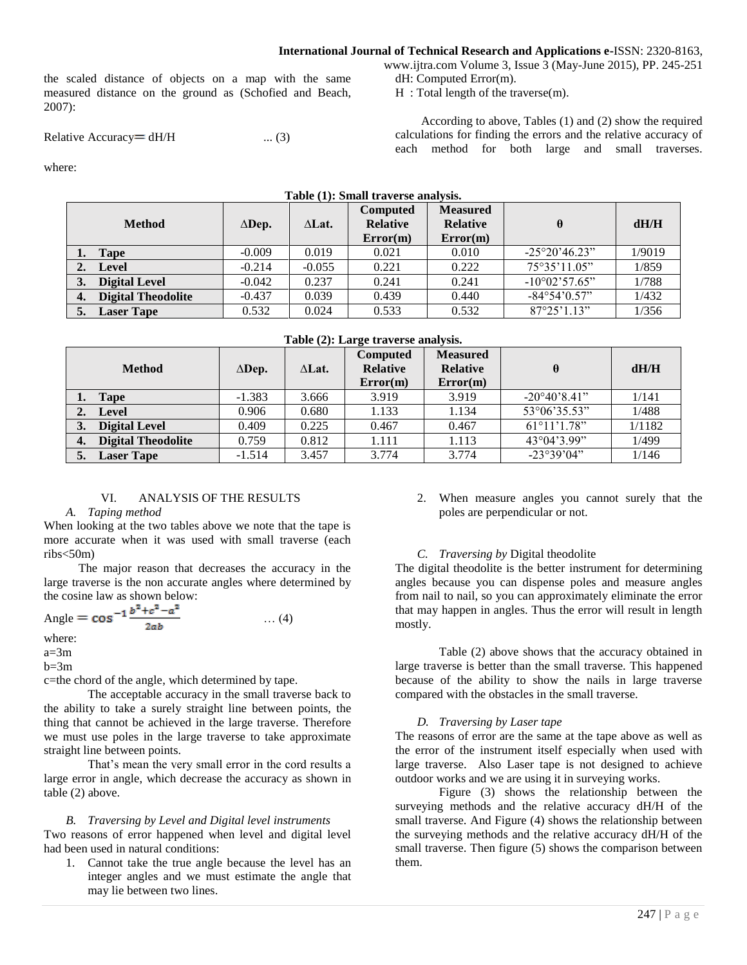the scaled distance of objects on a map with the same measured distance on the ground as (Schofied and Beach, 2007):

Relative Accuracy =  $dH/H$  ... (3)

www.ijtra.com Volume 3, Issue 3 (May-June 2015), PP. 245-251 dH: Computed Error(m).

H : Total length of the traverse(m).

According to above, Tables (1) and (2) show the required calculations for finding the errors and the relative accuracy of each method for both large and small traverses.

where:

|      | Table (1): Small traverse analysis. |               |               |                                                |                                                |                        |        |
|------|-------------------------------------|---------------|---------------|------------------------------------------------|------------------------------------------------|------------------------|--------|
|      | <b>Method</b>                       | $\Delta$ Dep. | $\Delta$ Lat. | <b>Computed</b><br><b>Relative</b><br>Error(m) | <b>Measured</b><br><b>Relative</b><br>Error(m) | $\theta$               | dH/H   |
| 1. 7 | <b>Tape</b>                         | $-0.009$      | 0.019         | 0.021                                          | 0.010                                          | $-25^{\circ}20'46.23"$ | 1/9019 |
|      | Level                               | $-0.214$      | $-0.055$      | 0.221                                          | 0.222                                          | 75°35'11.05"           | 1/859  |
| 3.   | <b>Digital Level</b>                | $-0.042$      | 0.237         | 0.241                                          | 0.241                                          | $-10^{\circ}02'57.65"$ | 1/788  |
| 4.   | <b>Digital Theodolite</b>           | $-0.437$      | 0.039         | 0.439                                          | 0.440                                          | $-84^{\circ}54'0.57"$  | 1/432  |
| 5.   | <b>Laser Tape</b>                   | 0.532         | 0.024         | 0.533                                          | 0.532                                          | $87^{\circ}25'1.13"$   | 1/356  |

#### **Table (2): Large traverse analysis.**

|    | <b>Method</b>             | $\Delta$ Dep. | $\Delta$ Lat. | <b>Computed</b><br><b>Relative</b><br>Error(m) | <b>Measured</b><br><b>Relative</b><br>Error(m) |                              | dH/H   |
|----|---------------------------|---------------|---------------|------------------------------------------------|------------------------------------------------|------------------------------|--------|
|    | <b>Tape</b>               | $-1.383$      | 3.666         | 3.919                                          | 3.919                                          | $-20^{\circ}40^{\circ}8.41"$ | 1/141  |
|    | Level                     | 0.906         | 0.680         | 1.133                                          | 1.134                                          | 53°06'35.53"                 | 1/488  |
|    | <b>Digital Level</b>      | 0.409         | 0.225         | 0.467                                          | 0.467                                          | $61^{\circ}11'1.78"$         | 1/1182 |
| 4. | <b>Digital Theodolite</b> | 0.759         | 0.812         | 1.111                                          | 1.113                                          | $43^{\circ}04'3.99"$         | 1/499  |
|    | <b>Laser Tape</b>         | $-1.514$      | 3.457         | 3.774                                          | 3.774                                          | $-23^{\circ}39'04"$          | 1/146  |

## VI. ANALYSIS OF THE RESULTS

#### *A. Taping method*

When looking at the two tables above we note that the tape is more accurate when it was used with small traverse (each  $ribs < 50m$ )

The major reason that decreases the accuracy in the large traverse is the non accurate angles where determined by the cosine law as shown below:

Angle = 
$$
\cos^{-1} \frac{b^2 + c^2 - a^2}{2ab}
$$
 ... (4)

where:

 $a=3m$ 

 $b=3m$ 

c=the chord of the angle, which determined by tape.

The acceptable accuracy in the small traverse back to the ability to take a surely straight line between points, the thing that cannot be achieved in the large traverse. Therefore we must use poles in the large traverse to take approximate straight line between points.

That's mean the very small error in the cord results a large error in angle, which decrease the accuracy as shown in table (2) above.

#### *B. Traversing by Level and Digital level instruments*

Two reasons of error happened when level and digital level had been used in natural conditions:

1. Cannot take the true angle because the level has an integer angles and we must estimate the angle that may lie between two lines.

2. When measure angles you cannot surely that the poles are perpendicular or not.

#### *C. Traversing by* Digital theodolite

The digital theodolite is the better instrument for determining angles because you can dispense poles and measure angles from nail to nail, so you can approximately eliminate the error that may happen in angles. Thus the error will result in length mostly.

Table (2) above shows that the accuracy obtained in large traverse is better than the small traverse. This happened because of the ability to show the nails in large traverse compared with the obstacles in the small traverse.

#### *D. Traversing by Laser tape*

The reasons of error are the same at the tape above as well as the error of the instrument itself especially when used with large traverse. Also Laser tape is not designed to achieve outdoor works and we are using it in surveying works.

Figure (3) shows the relationship between the surveying methods and the relative accuracy dH/H of the small traverse. And Figure (4) shows the relationship between the surveying methods and the relative accuracy dH/H of the small traverse. Then figure (5) shows the comparison between them.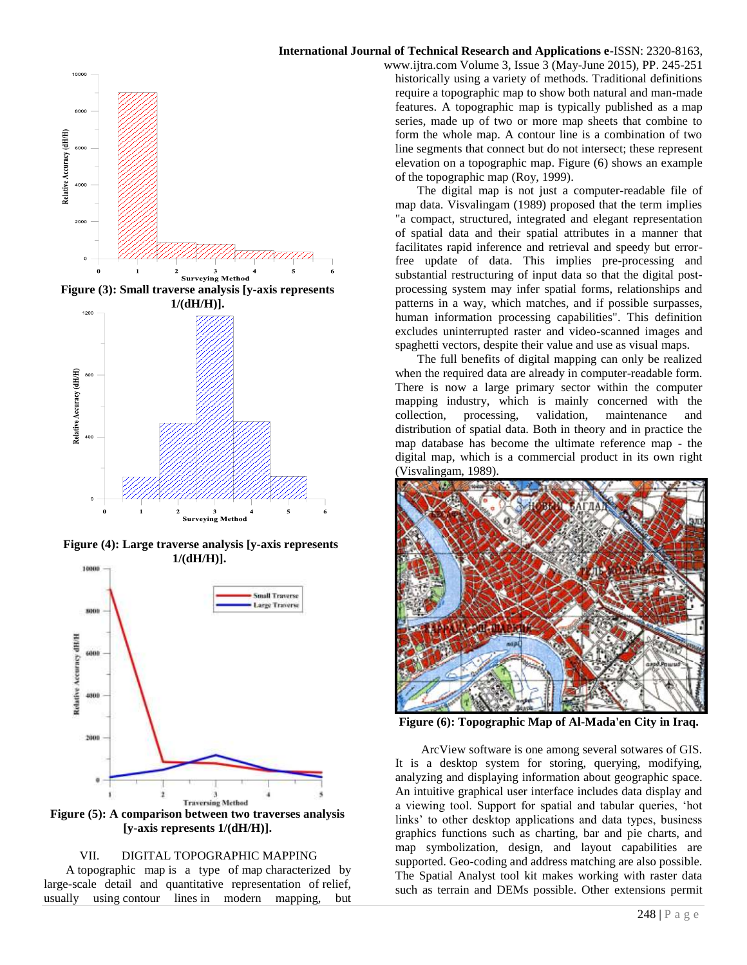

**Figure (3): Small traverse analysis [y-axis represents 1/(dH/H)].**



**Figure (4): Large traverse analysis [y-axis represents 1/(dH/H)].**



**[y-axis represents 1/(dH/H)].**

## VII. DIGITAL TOPOGRAPHIC MAPPING

A topographic map is a type of map characterized by large-scale detail and quantitative representation of relief, usually using contour lines in modern mapping, but

## **International Journal of Technical Research and Applications e-**ISSN: 2320-8163,

www.ijtra.com Volume 3, Issue 3 (May-June 2015), PP. 245-251 historically using a variety of methods. Traditional definitions require a topographic map to show both natural and man-made features. A topographic map is typically published as a map series, made up of two or more map sheets that combine to form the whole map. A contour line is a combination of two line segments that connect but do not intersect; these represent elevation on a topographic map. Figure (6) shows an example of the topographic map (Roy, 1999).

The digital map is not just a computer-readable file of map data. Visvalingam (1989) proposed that the term implies "a compact, structured, integrated and elegant representation of spatial data and their spatial attributes in a manner that facilitates rapid inference and retrieval and speedy but errorfree update of data. This implies pre-processing and substantial restructuring of input data so that the digital postprocessing system may infer spatial forms, relationships and patterns in a way, which matches, and if possible surpasses, human information processing capabilities". This definition excludes uninterrupted raster and video-scanned images and spaghetti vectors, despite their value and use as visual maps.

The full benefits of digital mapping can only be realized when the required data are already in computer-readable form. There is now a large primary sector within the computer mapping industry, which is mainly concerned with the collection, processing, validation, maintenance and distribution of spatial data. Both in theory and in practice the map database has become the ultimate reference map - the digital map, which is a commercial product in its own right (Visvalingam, 1989).



**Figure (6): Topographic Map of Al-Mada'en City in Iraq.**

ArcView software is one among several sotwares of GIS. It is a desktop system for storing, querying, modifying, analyzing and displaying information about geographic space. An intuitive graphical user interface includes data display and a viewing tool. Support for spatial and tabular queries, 'hot links' to other desktop applications and data types, business graphics functions such as charting, bar and pie charts, and map symbolization, design, and layout capabilities are supported. Geo-coding and address matching are also possible. The Spatial Analyst tool kit makes working with raster data such as terrain and DEMs possible. Other extensions permit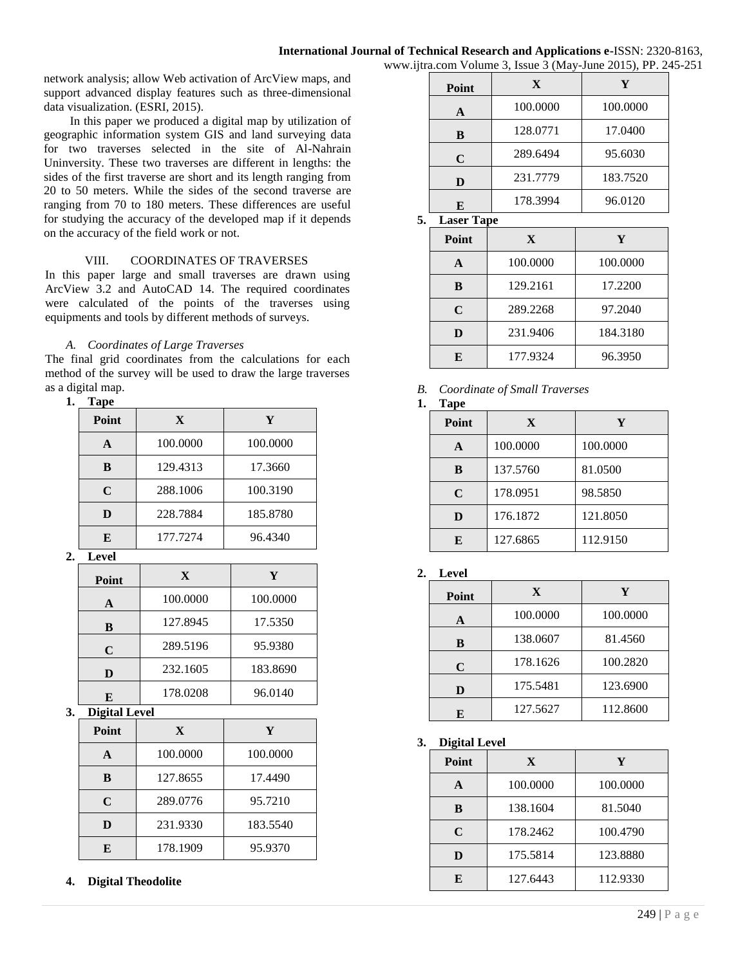network analysis; allow Web activation of ArcView maps, and support advanced display features such as three-dimensional data visualization. (ESRI, 2015).

In this paper we produced a digital map by utilization of geographic information system GIS and land surveying data for two traverses selected in the site of Al-Nahrain Uninversity. These two traverses are different in lengths: the sides of the first traverse are short and its length ranging from 20 to 50 meters. While the sides of the second traverse are ranging from 70 to 180 meters. These differences are useful for studying the accuracy of the developed map if it depends on the accuracy of the field work or not.

# VIII. COORDINATES OF TRAVERSES

In this paper large and small traverses are drawn using ArcView 3.2 and AutoCAD 14. The required coordinates were calculated of the points of the traverses using equipments and tools by different methods of surveys.

# *A. Coordinates of Large Traverses*

The final grid coordinates from the calculations for each method of the survey will be used to draw the large traverses as a digital map.

## **1. Tape**

| Point | X        | Y        |
|-------|----------|----------|
| A     | 100.0000 | 100.0000 |
| B     | 129.4313 | 17.3660  |
| C     | 288.1006 | 100.3190 |
| D     | 228.7884 | 185.8780 |
| E     | 177.7274 | 96.4340  |

**2. Level**

| Point | X        | Y        |
|-------|----------|----------|
| A     | 100.0000 | 100.0000 |
| B     | 127.8945 | 17.5350  |
| C     | 289.5196 | 95.9380  |
| D     | 232.1605 | 183.8690 |
| E     | 178.0208 | 96.0140  |

# **3. Digital Level**

| Point | X        | Y        |
|-------|----------|----------|
| A     | 100.0000 | 100.0000 |
| B     | 127.8655 | 17.4490  |
| C     | 289.0776 | 95.7210  |
| D     | 231.9330 | 183.5540 |
| F.    | 178.1909 | 95.9370  |

**4. Digital Theodolite**

|                |          | $\overline{\phantom{a}}$ |
|----------------|----------|--------------------------|
| Point          | X        | Y                        |
| A              | 100.0000 | 100.0000                 |
| B              | 128.0771 | 17.0400                  |
| $\mathbf C$    | 289.6494 | 95.6030                  |
| D              | 231.7779 | 183.7520                 |
| E              | 178.3994 | 96.0120                  |
| <b>T</b><br>m. |          |                          |

**5. Laser Tape**

| Point | X        | Y        |
|-------|----------|----------|
|       | 100.0000 | 100.0000 |
| B     | 129.2161 | 17.2200  |
| C     | 289.2268 | 97.2040  |
| D     | 231.9406 | 184.3180 |
| E     | 177.9324 | 96.3950  |

# *B. Coordinate of Small Traverses*

| I | í<br>ï<br>П<br>я |
|---|------------------|
|---|------------------|

| 1 apc<br>Point | X        | Y        |
|----------------|----------|----------|
| A              | 100.0000 | 100.0000 |
| B              | 137.5760 | 81.0500  |
| $\mathbf C$    | 178.0951 | 98.5850  |
| D              | 176.1872 | 121.8050 |
| E              | 127.6865 | 112.9150 |

# **2. Level**

| Point | X        | Y        |
|-------|----------|----------|
| A     | 100.0000 | 100.0000 |
| B     | 138.0607 | 81.4560  |
| C     | 178.1626 | 100.2820 |
| D     | 175.5481 | 123.6900 |
| E     | 127.5627 | 112.8600 |

**3. Digital Level**

| Point | X        | Y        |
|-------|----------|----------|
|       | 100.0000 | 100.0000 |
| R     | 138.1604 | 81.5040  |
| C     | 178.2462 | 100.4790 |
|       | 175.5814 | 123.8880 |
| F.    | 127.6443 | 112.9330 |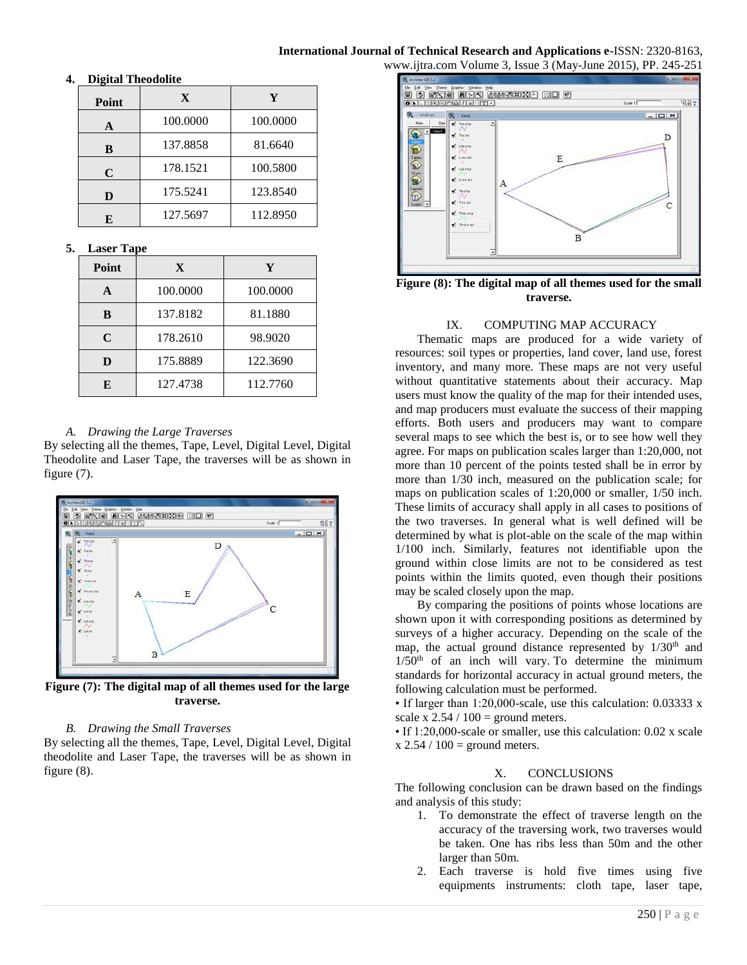#### **International Journal of Technical Research and Applications e-**ISSN: 2320-8163, www.ijtra.com Volume 3, Issue 3 (May-June 2015), PP. 245-251

#### **Point X Y A** 100.0000 100.0000 **B** 137.8858 | 81.6640 **C** 178.1521 100.5800 **D** 175.5241 123.8540 **E** 127.5697 112.8950

## **4. Digital Theodolite**

# **5. Laser Tape**

| пазы тарс |          |          |
|-----------|----------|----------|
| Point     | X        | Y        |
|           | 100.0000 | 100.0000 |
| B         | 137.8182 | 81.1880  |
| C         | 178.2610 | 98.9020  |
|           | 175.8889 | 122.3690 |
| F.        | 127.4738 | 112.7760 |

# *A. Drawing the Large Traverses*

By selecting all the themes, Tape, Level, Digital Level, Digital Theodolite and Laser Tape, the traverses will be as shown in figure (7).



**Figure (7): The digital map of all themes used for the large traverse.**

## *B. Drawing the Small Traverses*

By selecting all the themes, Tape, Level, Digital Level, Digital theodolite and Laser Tape, the traverses will be as shown in figure (8).



**Figure (8): The digital map of all themes used for the small traverse.**

# IX. COMPUTING MAP ACCURACY

Thematic maps are produced for a wide variety of resources: soil types or properties, land cover, land use, forest inventory, and many more. These maps are not very useful without quantitative statements about their accuracy. Map users must know the quality of the map for their intended uses, and map producers must evaluate the success of their mapping efforts. Both users and producers may want to compare several maps to see which the best is, or to see how well they agree. For maps on publication scales larger than 1:20,000, not more than 10 percent of the points tested shall be in error by more than 1/30 inch, measured on the publication scale; for maps on publication scales of 1:20,000 or smaller, 1/50 inch. These limits of accuracy shall apply in all cases to positions of the two traverses. In general what is well defined will be determined by what is plot-able on the scale of the map within 1/100 inch. Similarly, features not identifiable upon the ground within close limits are not to be considered as test points within the limits quoted, even though their positions may be scaled closely upon the map.

By comparing the positions of points whose locations are shown upon it with corresponding positions as determined by surveys of a higher accuracy. Depending on the scale of the map, the actual ground distance represented by  $1/30<sup>th</sup>$  and  $1/50<sup>th</sup>$  of an inch will vary. To determine the minimum standards for horizontal accuracy in actual ground meters, the following calculation must be performed.

• If larger than 1:20,000-scale, use this calculation: 0.03333 x scale x  $2.54 / 100 =$  ground meters.

• If 1:20,000-scale or smaller, use this calculation: 0.02 x scale  $x$  2.54 / 100 = ground meters.

## X. CONCLUSIONS

The following conclusion can be drawn based on the findings and analysis of this study:

- 1. To demonstrate the effect of traverse length on the accuracy of the traversing work, two traverses would be taken. One has ribs less than 50m and the other larger than 50m.
- 2. Each traverse is hold five times using five equipments instruments: cloth tape, laser tape,